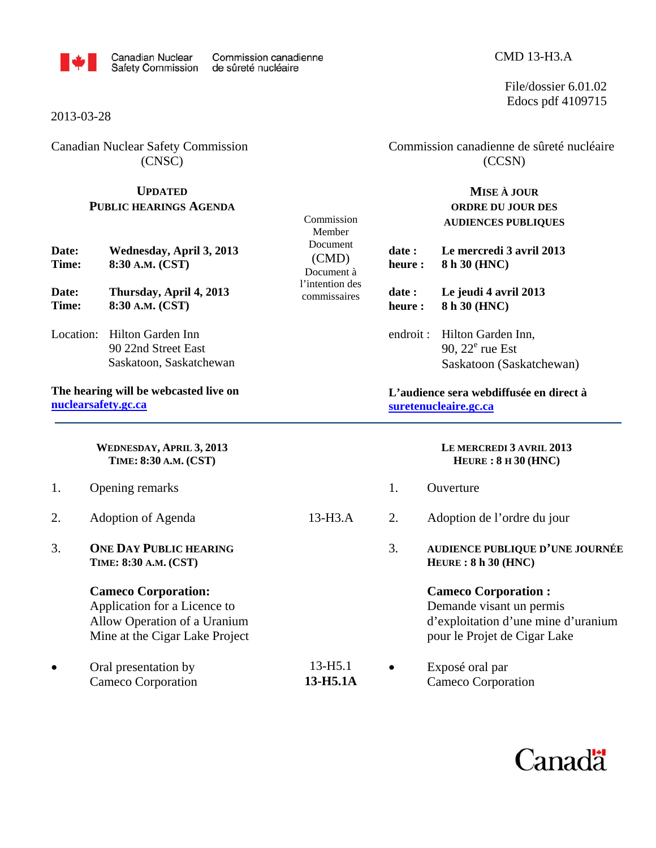

Commission Member Document (CMD) Document à l'intention des commissaires

#### 2013-03-28

Canadian Nuclear Safety Commission (CNSC)

### **UPDATED PUBLIC HEARINGS AGENDA**

| Date: | Wednesday, April 3, 2013 |
|-------|--------------------------|
| Time: | 8:30 A.M. (CST)          |
|       |                          |

**Date: Thursday, April 4, 2013 Time: 8:30 A.M. (CST)** 

Location: Hilton Garden Inn 90 22nd Street East Saskatoon, Saskatchewan

**The hearing will be webcasted live on nuclearsafety.gc.ca**

> **WEDNESDAY, APRIL 3, 2013 TIME: 8:30 A.M. (CST)**

- 1. Opening remarks
- 2. Adoption of Agenda 13-H3.A
- 3. **ONE DAY PUBLIC HEARING TIME: 8:30 A.M. (CST)**

#### **Cameco Corporation:**

Application for a Licence to Allow Operation of a Uranium Mine at the Cigar Lake Project

• Oral presentation by 13-H5.1 Cameco Corporation **13-H5.1A**   Commission canadienne de sûreté nucléaire (CCSN)

### **MISE À JOUR ORDRE DU JOUR DES AUDIENCES PUBLIQUES**

- **date : Le mercredi 3 avril 2013 heure : 8 h 30 (HNC)**
- **date : Le jeudi 4 avril 2013**
- **heure : 8 h 30 (HNC)**
- endroit : Hilton Garden Inn, 90,  $22^e$  rue Est Saskatoon (Saskatchewan)

#### **L'audience sera webdiffusée en direct à suretenucleaire.gc.ca**

#### **LE MERCREDI 3 AVRIL 2013 HEURE : 8 H 30 (HNC)**

- 1. Ouverture
- 2. Adoption de l'ordre du jour
- 3. **AUDIENCE PUBLIQUE D'UNE JOURNÉE HEURE : 8 h 30 (HNC)**

#### **Cameco Corporation :**

Demande visant un permis d'exploitation d'une mine d'uranium pour le Projet de Cigar Lake

 Exposé oral par Cameco Corporation



CMD 13-H3.A

File/dossier 6.01.02 Edocs pdf 4109715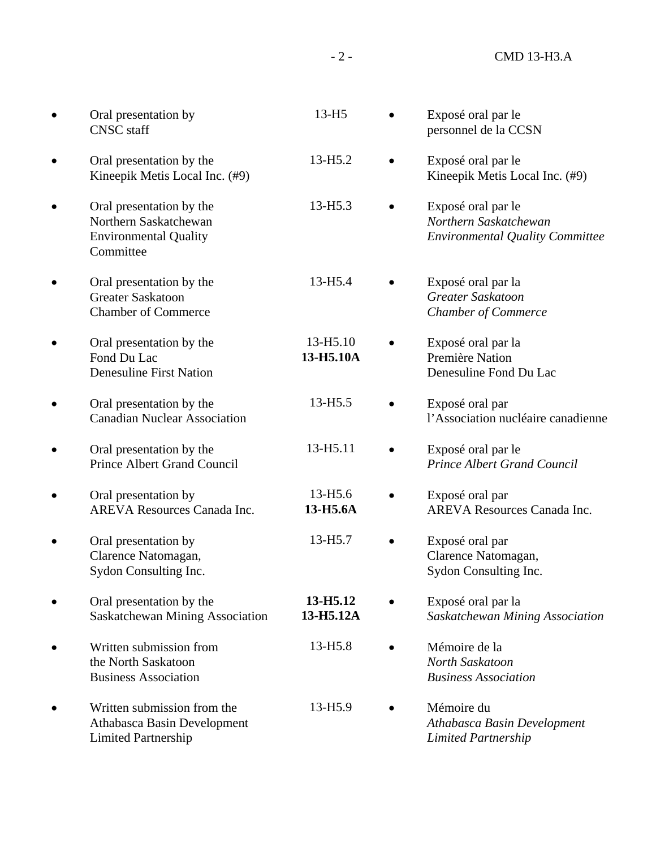| Oral presentation by<br><b>CNSC</b> staff                                                      | 13-H <sub>5</sub>               | Exposé oral par le<br>personnel de la CCSN                                            |
|------------------------------------------------------------------------------------------------|---------------------------------|---------------------------------------------------------------------------------------|
| Oral presentation by the<br>Kineepik Metis Local Inc. (#9)                                     | 13-H <sub>5.2</sub>             | Exposé oral par le<br>Kineepik Metis Local Inc. (#9)                                  |
| Oral presentation by the<br>Northern Saskatchewan<br><b>Environmental Quality</b><br>Committee | $13 - H5.3$                     | Exposé oral par le<br>Northern Saskatchewan<br><b>Environmental Quality Committee</b> |
| Oral presentation by the<br><b>Greater Saskatoon</b><br><b>Chamber of Commerce</b>             | 13-H <sub>5.4</sub>             | Exposé oral par la<br>Greater Saskatoon<br><b>Chamber of Commerce</b>                 |
| Oral presentation by the<br>Fond Du Lac<br><b>Denesuline First Nation</b>                      | 13-H5.10<br>13-H5.10A           | Exposé oral par la<br>Première Nation<br>Denesuline Fond Du Lac                       |
| Oral presentation by the<br><b>Canadian Nuclear Association</b>                                | 13-H <sub>5.5</sub>             | Exposé oral par<br>l'Association nucléaire canadienne                                 |
| Oral presentation by the<br><b>Prince Albert Grand Council</b>                                 | 13-H5.11                        | Exposé oral par le<br><b>Prince Albert Grand Council</b>                              |
| Oral presentation by<br><b>AREVA Resources Canada Inc.</b>                                     | 13-H <sub>5.6</sub><br>13-H5.6A | Exposé oral par<br><b>AREVA Resources Canada Inc.</b>                                 |
| Oral presentation by<br>Clarence Natomagan,<br>Sydon Consulting Inc.                           | 13-H <sub>5.7</sub>             | Exposé oral par<br>Clarence Natomagan,<br>Sydon Consulting Inc.                       |
| Oral presentation by the<br>Saskatchewan Mining Association                                    | 13-H5.12<br>13-H5.12A           | Exposé oral par la<br>Saskatchewan Mining Association                                 |
| Written submission from<br>the North Saskatoon<br><b>Business Association</b>                  | 13-H <sub>5.8</sub>             | Mémoire de la<br>North Saskatoon<br><b>Business Association</b>                       |
| Written submission from the<br>Athabasca Basin Development<br><b>Limited Partnership</b>       | 13-H5.9                         | Mémoire du<br>Athabasca Basin Development<br><b>Limited Partnership</b>               |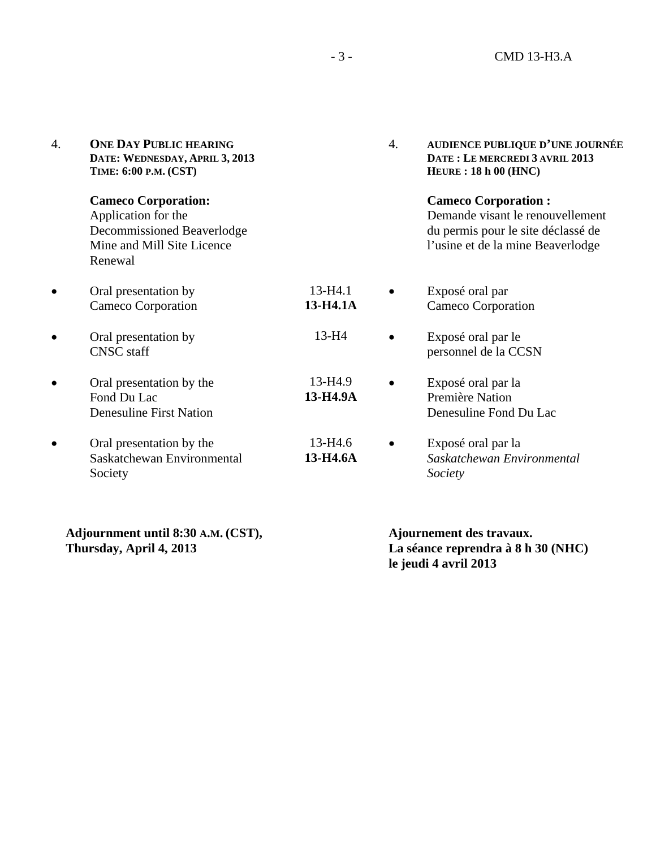| 4. | <b>ONE DAY PUBLIC HEARING</b><br>DATE: WEDNESDAY, APRIL 3, 2013<br>TIME: 6:00 P.M. (CST)                                 |                         | 4. | <b>AUDIENCE PUBLIQUE D'UNE JOURNÉE</b><br>DATE: LE MERCREDI 3 AVRIL 2013<br>HEURE: 18 h 00 (HNC)                                          |
|----|--------------------------------------------------------------------------------------------------------------------------|-------------------------|----|-------------------------------------------------------------------------------------------------------------------------------------------|
|    | <b>Cameco Corporation:</b><br>Application for the<br>Decommissioned Beaverlodge<br>Mine and Mill Site Licence<br>Renewal |                         |    | <b>Cameco Corporation:</b><br>Demande visant le renouvellement<br>du permis pour le site déclassé de<br>l'usine et de la mine Beaverlodge |
|    | Oral presentation by<br>Cameco Corporation                                                                               | $13 - H4.1$<br>13-H4.1A |    | Exposé oral par<br>Cameco Corporation                                                                                                     |
|    | Oral presentation by<br><b>CNSC</b> staff                                                                                | $13-H4$                 |    | Exposé oral par le<br>personnel de la CCSN                                                                                                |
|    | Oral presentation by the<br>Fond Du Lac<br><b>Denesuline First Nation</b>                                                | 13-H4.9<br>13-H4.9A     |    | Exposé oral par la<br>Première Nation<br>Denesuline Fond Du Lac                                                                           |
|    | Oral presentation by the<br>Saskatchewan Environmental<br>Society                                                        | 13-H4.6<br>13-H4.6A     |    | Exposé oral par la<br>Saskatchewan Environmental<br>Society                                                                               |

**Adjournment until 8:30 A.M. (CST), Thursday, April 4, 2013** 

 **Ajournement des travaux. La séance reprendra à 8 h 30 (NHC) le jeudi 4 avril 2013**